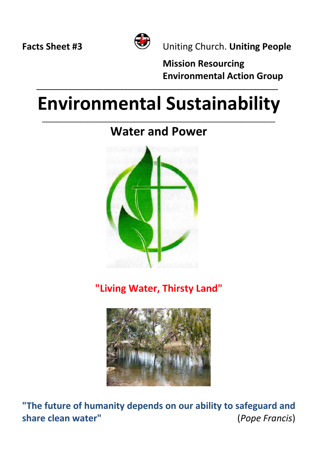

**Facts Sheet #3** Uniting Church. **Uniting People**

**Mission Resourcing Environmental Action Group**

# **Environmental Sustainability**

 **\_\_\_\_\_\_\_\_\_\_\_\_\_\_\_\_\_\_\_\_\_\_\_\_\_\_\_\_\_\_\_\_\_\_\_\_\_\_\_\_\_\_\_\_\_\_\_\_\_\_\_\_\_\_\_\_\_\_\_\_\_\_\_\_\_\_\_\_\_**

#### **\_\_\_\_\_\_\_\_\_\_\_\_\_\_\_\_\_\_\_\_\_\_\_\_\_\_\_\_\_\_\_\_\_\_\_\_\_\_\_\_\_\_\_\_\_\_\_\_\_\_\_\_\_\_\_\_\_\_\_\_\_\_\_\_\_\_\_\_\_\_\_\_\_\_\_ Water and Power**



**"Living Water, Thirsty Land"** 



**"The future of humanity depends on our ability to safeguard and share clean water"** (*Pope Francis*)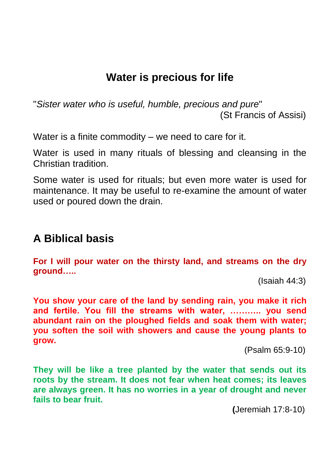## **Water is precious for life**

"*Sister water who is useful, humble, precious and pure*" (St Francis of Assisi)

Water is a finite commodity – we need to care for it.

Water is used in many rituals of blessing and cleansing in the Christian tradition.

Some water is used for rituals; but even more water is used for maintenance. It may be useful to re-examine the amount of water used or poured down the drain.

## **A Biblical basis**

**For I will pour water on the thirsty land, and streams on the dry ground…..**

(Isaiah 44:3)

**You show your care of the land by sending rain, you make it rich and fertile. You fill the streams with water, ……….. you send abundant rain on the ploughed fields and soak them with water; you soften the soil with showers and cause the young plants to grow.** 

(Psalm 65:9-10)

**They will be like a tree planted by the water that sends out its roots by the stream. It does not fear when heat comes; its leaves are always green. It has no worries in a year of drought and never fails to bear fruit.** 

**(**Jeremiah 17:8-10)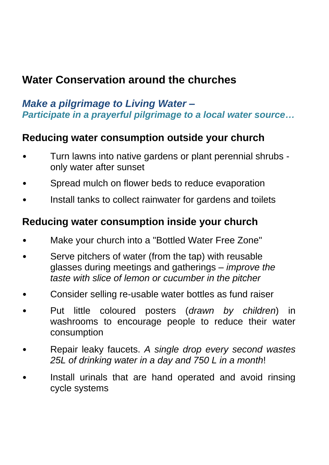# **Water Conservation around the churches**

#### *Make a pilgrimage to Living Water – Participate in a prayerful pilgrimage to a local water source…*

#### **Reducing water consumption outside your church**

- Turn lawns into native gardens or plant perennial shrubs only water after sunset
- Spread mulch on flower beds to reduce evaporation
- Install tanks to collect rainwater for gardens and toilets

#### **Reducing water consumption inside your church**

- Make your church into a "Bottled Water Free Zone"
- Serve pitchers of water (from the tap) with reusable glasses during meetings and gatherings *– improve the taste with slice of lemon or cucumber in the pitcher*
- Consider selling re-usable water bottles as fund raiser
- Put little coloured posters (*drawn by children*) in washrooms to encourage people to reduce their water consumption
- Repair leaky faucets. *A single drop every second wastes 25L of drinking water in a day and 750 L in a month*!
- Install urinals that are hand operated and avoid rinsing cycle systems